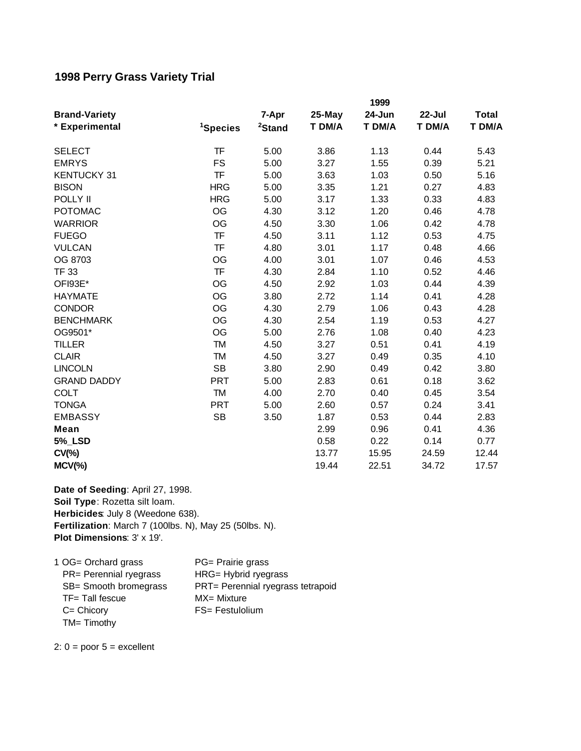## **1998 Perry Grass Variety Trial**

| <b>Brand-Variety</b><br>* Experimental | 1999                 |                             |                  |                  |                  |                        |
|----------------------------------------|----------------------|-----------------------------|------------------|------------------|------------------|------------------------|
|                                        | <sup>1</sup> Species | 7-Apr<br><sup>2</sup> Stand | 25-May<br>T DM/A | 24-Jun<br>T DM/A | 22-Jul<br>T DM/A | <b>Total</b><br>T DM/A |
|                                        |                      |                             |                  |                  |                  |                        |
| <b>EMRYS</b>                           | <b>FS</b>            | 5.00                        | 3.27             | 1.55             | 0.39             | 5.21                   |
| <b>KENTUCKY 31</b>                     | TF                   | 5.00                        | 3.63             | 1.03             | 0.50             | 5.16                   |
| <b>BISON</b>                           | <b>HRG</b>           | 5.00                        | 3.35             | 1.21             | 0.27             | 4.83                   |
| POLLY II                               | <b>HRG</b>           | 5.00                        | 3.17             | 1.33             | 0.33             | 4.83                   |
| <b>POTOMAC</b>                         | <b>OG</b>            | 4.30                        | 3.12             | 1.20             | 0.46             | 4.78                   |
| <b>WARRIOR</b>                         | OG                   | 4.50                        | 3.30             | 1.06             | 0.42             | 4.78                   |
| <b>FUEGO</b>                           | <b>TF</b>            | 4.50                        | 3.11             | 1.12             | 0.53             | 4.75                   |
| <b>VULCAN</b>                          | <b>TF</b>            | 4.80                        | 3.01             | 1.17             | 0.48             | 4.66                   |
| OG 8703                                | OG                   | 4.00                        | 3.01             | 1.07             | 0.46             | 4.53                   |
| <b>TF 33</b>                           | <b>TF</b>            | 4.30                        | 2.84             | 1.10             | 0.52             | 4.46                   |
| OFI93E*                                | OG                   | 4.50                        | 2.92             | 1.03             | 0.44             | 4.39                   |
| <b>HAYMATE</b>                         | <b>OG</b>            | 3.80                        | 2.72             | 1.14             | 0.41             | 4.28                   |
| <b>CONDOR</b>                          | OG                   | 4.30                        | 2.79             | 1.06             | 0.43             | 4.28                   |
| <b>BENCHMARK</b>                       | OG                   | 4.30                        | 2.54             | 1.19             | 0.53             | 4.27                   |
| OG9501*                                | OG                   | 5.00                        | 2.76             | 1.08             | 0.40             | 4.23                   |
| <b>TILLER</b>                          | <b>TM</b>            | 4.50                        | 3.27             | 0.51             | 0.41             | 4.19                   |
| <b>CLAIR</b>                           | <b>TM</b>            | 4.50                        | 3.27             | 0.49             | 0.35             | 4.10                   |
| <b>LINCOLN</b>                         | <b>SB</b>            | 3.80                        | 2.90             | 0.49             | 0.42             | 3.80                   |
| <b>GRAND DADDY</b>                     | PRT                  | 5.00                        | 2.83             | 0.61             | 0.18             | 3.62                   |
| <b>COLT</b>                            | <b>TM</b>            | 4.00                        | 2.70             | 0.40             | 0.45             | 3.54                   |
| <b>TONGA</b>                           | <b>PRT</b>           | 5.00                        | 2.60             | 0.57             | 0.24             | 3.41                   |
| <b>EMBASSY</b>                         | <b>SB</b>            | 3.50                        | 1.87             | 0.53             | 0.44             | 2.83                   |
| <b>Mean</b>                            |                      |                             | 2.99             | 0.96             | 0.41             | 4.36                   |
| <b>5%_LSD</b>                          |                      |                             | 0.58             | 0.22             | 0.14             | 0.77                   |
| $CV(\% )$                              |                      |                             | 13.77            | 15.95            | 24.59            | 12.44                  |
| $MCV(\%)$                              |                      |                             | 19.44            | 22.51            | 34.72            | 17.57                  |

**Fertilization**: March 7 (100lbs. N), May 25 (50lbs. N). **Plot Dimensions**: 3' x 19'. **Date of Seeding**: April 27, 1998. **Soil Type**: Rozetta silt loam. **Herbicides**: July 8 (Weedone 638).

1 OG= Orchard grass PG= Prairie grass PR= Perennial ryegrass HRG= Hybrid ryegrass SB= Smooth bromegrass PRT= Perennial ryegrass tetrapoid TF= Tall fescue MX= Mixture C= Chicory FS= Festulolium TM= Timothy

2:  $0 =$  poor  $5 =$  excellent